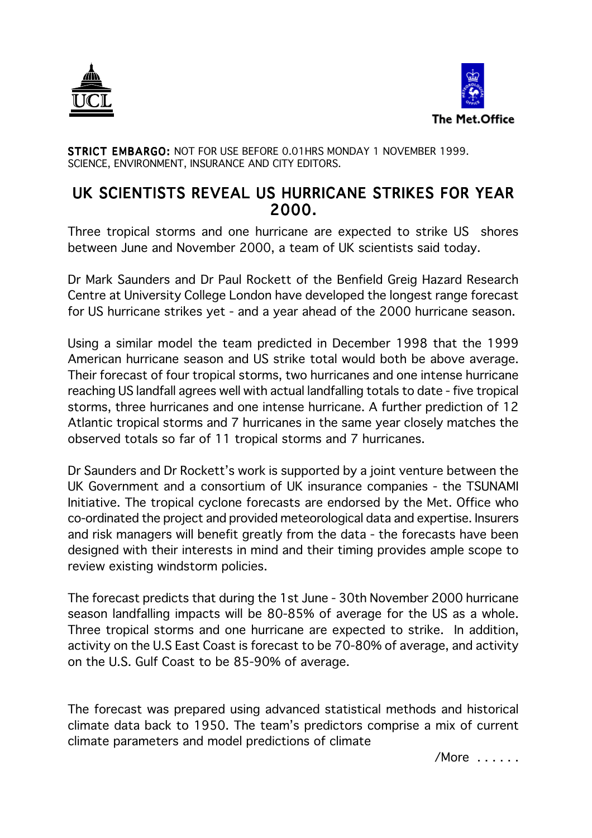



STRICT EMBARGO: NOT FOR USE BEFORE 0.01HRS MONDAY 1 NOVEMBER 1999. SCIENCE, ENVIRONMENT, INSURANCE AND CITY EDITORS.

## UK SCIENTISTS REVEAL US HURRICANE STRIKES FOR YEAR 2000.

Three tropical storms and one hurricane are expected to strike US shores between June and November 2000, a team of UK scientists said today.

Dr Mark Saunders and Dr Paul Rockett of the Benfield Greig Hazard Research Centre at University College London have developed the longest range forecast for US hurricane strikes yet - and a year ahead of the 2000 hurricane season.

Using a similar model the team predicted in December 1998 that the 1999 American hurricane season and US strike total would both be above average. Their forecast of four tropical storms, two hurricanes and one intense hurricane reaching US landfall agrees well with actual landfalling totals to date - five tropical storms, three hurricanes and one intense hurricane. A further prediction of 12 Atlantic tropical storms and 7 hurricanes in the same year closely matches the observed totals so far of 11 tropical storms and 7 hurricanes.

Dr Saunders and Dr Rockett's work is supported by a joint venture between the UK Government and a consortium of UK insurance companies - the TSUNAMI Initiative. The tropical cyclone forecasts are endorsed by the Met. Office who co-ordinated the project and provided meteorological data and expertise. Insurers and risk managers will benefit greatly from the data - the forecasts have been designed with their interests in mind and their timing provides ample scope to review existing windstorm policies.

The forecast predicts that during the 1st June - 30th November 2000 hurricane season landfalling impacts will be 80-85% of average for the US as a whole. Three tropical storms and one hurricane are expected to strike. In addition, activity on the U.S East Coast is forecast to be 70-80% of average, and activity on the U.S. Gulf Coast to be 85-90% of average.

The forecast was prepared using advanced statistical methods and historical climate data back to 1950. The team's predictors comprise a mix of current climate parameters and model predictions of climate

/More . . . . . .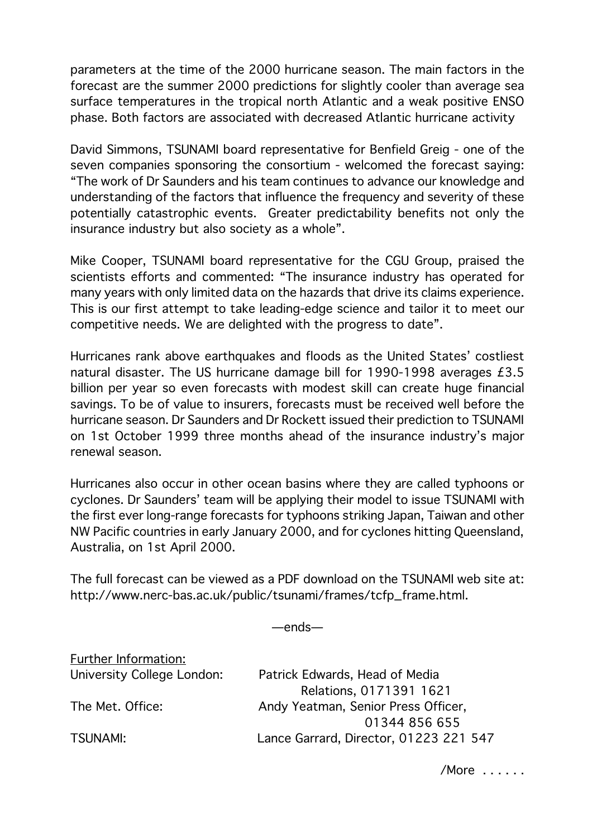parameters at the time of the 2000 hurricane season. The main factors in the forecast are the summer 2000 predictions for slightly cooler than average sea surface temperatures in the tropical north Atlantic and a weak positive ENSO phase. Both factors are associated with decreased Atlantic hurricane activity

David Simmons, TSUNAMI board representative for Benfield Greig - one of the seven companies sponsoring the consortium - welcomed the forecast saying: "The work of Dr Saunders and his team continues to advance our knowledge and understanding of the factors that influence the frequency and severity of these potentially catastrophic events. Greater predictability benefits not only the insurance industry but also society as a whole".

Mike Cooper, TSUNAMI board representative for the CGU Group, praised the scientists efforts and commented: "The insurance industry has operated for many years with only limited data on the hazards that drive its claims experience. This is our first attempt to take leading-edge science and tailor it to meet our competitive needs. We are delighted with the progress to date".

Hurricanes rank above earthquakes and floods as the United States' costliest natural disaster. The US hurricane damage bill for 1990-1998 averages £3.5 billion per year so even forecasts with modest skill can create huge financial savings. To be of value to insurers, forecasts must be received well before the hurricane season. Dr Saunders and Dr Rockett issued their prediction to TSUNAMI on 1st October 1999 three months ahead of the insurance industry's major renewal season.

Hurricanes also occur in other ocean basins where they are called typhoons or cyclones. Dr Saunders' team will be applying their model to issue TSUNAMI with the first ever long-range forecasts for typhoons striking Japan, Taiwan and other NW Pacific countries in early January 2000, and for cyclones hitting Queensland, Australia, on 1st April 2000.

The full forecast can be viewed as a PDF download on the TSUNAMI web site at: http://www.nerc-bas.ac.uk/public/tsunami/frames/tcfp\_frame.html.

—ends—

| Patrick Edwards, Head of Media         |
|----------------------------------------|
| Relations, 0171391 1621                |
| Andy Yeatman, Senior Press Officer,    |
| 01344 856 655                          |
| Lance Garrard, Director, 01223 221 547 |
|                                        |

/More . . . . . .